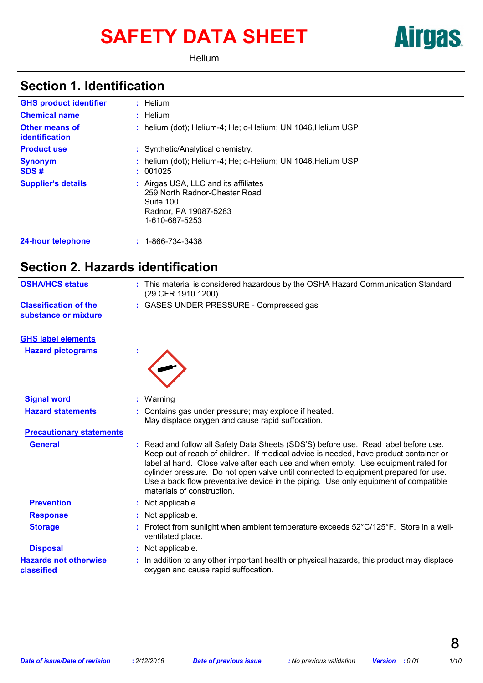# SAFETY DATA SHEET **Airgas**

**Helium** 

### **Section 1. Identification**

| <b>GHS product identifier</b>                  | $:$ Helium                                                                                                                    |
|------------------------------------------------|-------------------------------------------------------------------------------------------------------------------------------|
| <b>Chemical name</b>                           | $:$ Helium                                                                                                                    |
| <b>Other means of</b><br><b>identification</b> | : helium (dot); Helium-4; He; o-Helium; UN 1046, Helium USP                                                                   |
| <b>Product use</b>                             | : Synthetic/Analytical chemistry.                                                                                             |
| <b>Synonym</b><br>SDS#                         | : helium (dot); Helium-4; He; o-Helium; UN 1046, Helium USP<br>: 001025                                                       |
| <b>Supplier's details</b>                      | : Airgas USA, LLC and its affiliates<br>259 North Radnor-Chester Road<br>Suite 100<br>Radnor, PA 19087-5283<br>1-610-687-5253 |
| <b>24-hour telephone</b>                       | $: 1 - 866 - 734 - 3438$                                                                                                      |

### **Section 2. Hazards identification**

| <b>OSHA/HCS status</b>                               | : This material is considered hazardous by the OSHA Hazard Communication Standard<br>(29 CFR 1910.1200).                                                                                                                                                                                                                                                                                                                                                                      |  |
|------------------------------------------------------|-------------------------------------------------------------------------------------------------------------------------------------------------------------------------------------------------------------------------------------------------------------------------------------------------------------------------------------------------------------------------------------------------------------------------------------------------------------------------------|--|
| <b>Classification of the</b><br>substance or mixture | : GASES UNDER PRESSURE - Compressed gas                                                                                                                                                                                                                                                                                                                                                                                                                                       |  |
| <b>GHS label elements</b>                            |                                                                                                                                                                                                                                                                                                                                                                                                                                                                               |  |
| <b>Hazard pictograms</b>                             |                                                                                                                                                                                                                                                                                                                                                                                                                                                                               |  |
| <b>Signal word</b>                                   | : Warning                                                                                                                                                                                                                                                                                                                                                                                                                                                                     |  |
| <b>Hazard statements</b>                             | : Contains gas under pressure; may explode if heated.<br>May displace oxygen and cause rapid suffocation.                                                                                                                                                                                                                                                                                                                                                                     |  |
| <b>Precautionary statements</b>                      |                                                                                                                                                                                                                                                                                                                                                                                                                                                                               |  |
| <b>General</b>                                       | : Read and follow all Safety Data Sheets (SDS'S) before use. Read label before use.<br>Keep out of reach of children. If medical advice is needed, have product container or<br>label at hand. Close valve after each use and when empty. Use equipment rated for<br>cylinder pressure. Do not open valve until connected to equipment prepared for use.<br>Use a back flow preventative device in the piping. Use only equipment of compatible<br>materials of construction. |  |
| <b>Prevention</b>                                    | : Not applicable.                                                                                                                                                                                                                                                                                                                                                                                                                                                             |  |
| <b>Response</b>                                      | Not applicable.                                                                                                                                                                                                                                                                                                                                                                                                                                                               |  |
| <b>Storage</b>                                       | Protect from sunlight when ambient temperature exceeds 52°C/125°F. Store in a well-<br>ventilated place.                                                                                                                                                                                                                                                                                                                                                                      |  |
| <b>Disposal</b>                                      | Not applicable.                                                                                                                                                                                                                                                                                                                                                                                                                                                               |  |
| <b>Hazards not otherwise</b><br>classified           | In addition to any other important health or physical hazards, this product may displace<br>oxygen and cause rapid suffocation.                                                                                                                                                                                                                                                                                                                                               |  |

**8**

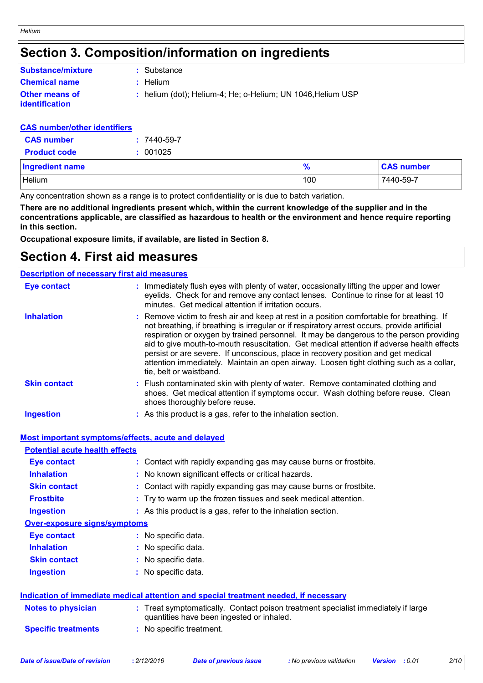### **Section 3. Composition/information on ingredients**

| <b>Substance/mixture</b>                | : Substance                                                 |
|-----------------------------------------|-------------------------------------------------------------|
| <b>Chemical name</b>                    | : Helium                                                    |
| <b>Other means of</b><br>identification | : helium (dot); Helium-4; He; o-Helium; UN 1046, Helium USP |

#### **CAS number/other identifiers**

| <b>CAS</b> number   | $: 7440 - 59 - 7$ |
|---------------------|-------------------|
| <b>Product code</b> | : 001025          |

| <b>Ingredient name</b> | . O.<br>70 | <b>CAS number</b> |
|------------------------|------------|-------------------|
| <b>Helium</b>          | 100        | 7440-59-7         |

Any concentration shown as a range is to protect confidentiality or is due to batch variation.

**There are no additional ingredients present which, within the current knowledge of the supplier and in the concentrations applicable, are classified as hazardous to health or the environment and hence require reporting in this section.**

**Occupational exposure limits, if available, are listed in Section 8.**

### **Section 4. First aid measures**

| <b>Description of necessary first aid measures</b> |                                                                                                                                                                                                                                                                                                                                                                                                                                                                                                                                                                                              |
|----------------------------------------------------|----------------------------------------------------------------------------------------------------------------------------------------------------------------------------------------------------------------------------------------------------------------------------------------------------------------------------------------------------------------------------------------------------------------------------------------------------------------------------------------------------------------------------------------------------------------------------------------------|
| <b>Eye contact</b>                                 | : Immediately flush eyes with plenty of water, occasionally lifting the upper and lower<br>eyelids. Check for and remove any contact lenses. Continue to rinse for at least 10<br>minutes. Get medical attention if irritation occurs.                                                                                                                                                                                                                                                                                                                                                       |
| <b>Inhalation</b>                                  | : Remove victim to fresh air and keep at rest in a position comfortable for breathing. If<br>not breathing, if breathing is irregular or if respiratory arrest occurs, provide artificial<br>respiration or oxygen by trained personnel. It may be dangerous to the person providing<br>aid to give mouth-to-mouth resuscitation. Get medical attention if adverse health effects<br>persist or are severe. If unconscious, place in recovery position and get medical<br>attention immediately. Maintain an open airway. Loosen tight clothing such as a collar,<br>tie, belt or waistband. |
| <b>Skin contact</b>                                | : Flush contaminated skin with plenty of water. Remove contaminated clothing and<br>shoes. Get medical attention if symptoms occur. Wash clothing before reuse. Clean<br>shoes thoroughly before reuse.                                                                                                                                                                                                                                                                                                                                                                                      |
| <b>Ingestion</b>                                   | : As this product is a gas, refer to the inhalation section.                                                                                                                                                                                                                                                                                                                                                                                                                                                                                                                                 |

#### **Most important symptoms/effects, acute and delayed**

| <b>Potential acute health effects</b>                                                |                                                                                                                                |  |  |
|--------------------------------------------------------------------------------------|--------------------------------------------------------------------------------------------------------------------------------|--|--|
| Eye contact                                                                          | : Contact with rapidly expanding gas may cause burns or frostbite.                                                             |  |  |
| <b>Inhalation</b>                                                                    | : No known significant effects or critical hazards.                                                                            |  |  |
| <b>Skin contact</b>                                                                  | : Contact with rapidly expanding gas may cause burns or frostbite.                                                             |  |  |
| <b>Frostbite</b>                                                                     | : Try to warm up the frozen tissues and seek medical attention.                                                                |  |  |
| <b>Ingestion</b>                                                                     | : As this product is a gas, refer to the inhalation section.                                                                   |  |  |
| <b>Over-exposure signs/symptoms</b>                                                  |                                                                                                                                |  |  |
| <b>Eye contact</b>                                                                   | : No specific data.                                                                                                            |  |  |
| <b>Inhalation</b>                                                                    | : No specific data.                                                                                                            |  |  |
| <b>Skin contact</b>                                                                  | : No specific data.                                                                                                            |  |  |
| <b>Ingestion</b>                                                                     | : No specific data.                                                                                                            |  |  |
| Indication of immediate medical attention and special treatment needed, if necessary |                                                                                                                                |  |  |
| <b>Notes to physician</b>                                                            | : Treat symptomatically. Contact poison treatment specialist immediately if large<br>quantities have been ingested or inhaled. |  |  |
| <b>Specific treatments</b>                                                           | : No specific treatment.                                                                                                       |  |  |
|                                                                                      |                                                                                                                                |  |  |
|                                                                                      |                                                                                                                                |  |  |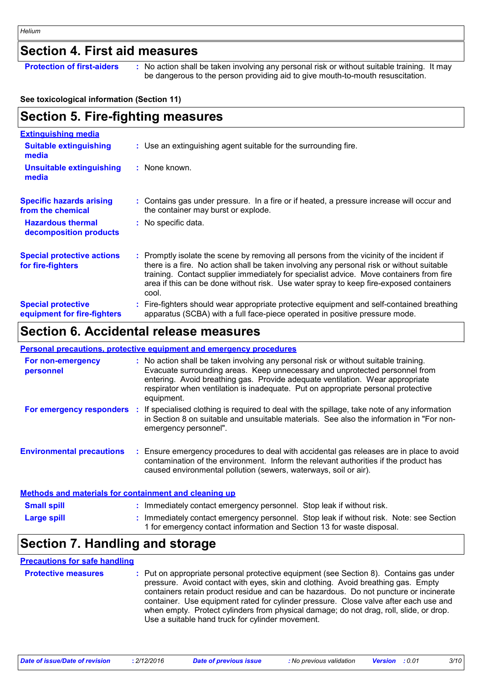### **Section 4. First aid measures**

**Protection of first-aiders** : No action shall be taken involving any personal risk or without suitable training. It may be dangerous to the person providing aid to give mouth-to-mouth resuscitation.

#### **See toxicological information (Section 11)**

| <b>Section 5. Fire-fighting measures</b>                 |                                                                                                                                                                                                                                                                                                                                                                                      |
|----------------------------------------------------------|--------------------------------------------------------------------------------------------------------------------------------------------------------------------------------------------------------------------------------------------------------------------------------------------------------------------------------------------------------------------------------------|
| <b>Extinguishing media</b>                               |                                                                                                                                                                                                                                                                                                                                                                                      |
| <b>Suitable extinguishing</b><br>media                   | : Use an extinguishing agent suitable for the surrounding fire.                                                                                                                                                                                                                                                                                                                      |
| <b>Unsuitable extinguishing</b><br>media                 | : None known.                                                                                                                                                                                                                                                                                                                                                                        |
| <b>Specific hazards arising</b><br>from the chemical     | : Contains gas under pressure. In a fire or if heated, a pressure increase will occur and<br>the container may burst or explode.                                                                                                                                                                                                                                                     |
| <b>Hazardous thermal</b><br>decomposition products       | : No specific data.                                                                                                                                                                                                                                                                                                                                                                  |
| <b>Special protective actions</b><br>for fire-fighters   | : Promptly isolate the scene by removing all persons from the vicinity of the incident if<br>there is a fire. No action shall be taken involving any personal risk or without suitable<br>training. Contact supplier immediately for specialist advice. Move containers from fire<br>area if this can be done without risk. Use water spray to keep fire-exposed containers<br>cool. |
| <b>Special protective</b><br>equipment for fire-fighters | Fire-fighters should wear appropriate protective equipment and self-contained breathing<br>apparatus (SCBA) with a full face-piece operated in positive pressure mode.                                                                                                                                                                                                               |

### **Section 6. Accidental release measures**

|                                                              |    | <b>Personal precautions, protective equipment and emergency procedures</b>                                                                                                                                                                                                                                                                              |
|--------------------------------------------------------------|----|---------------------------------------------------------------------------------------------------------------------------------------------------------------------------------------------------------------------------------------------------------------------------------------------------------------------------------------------------------|
| For non-emergency<br>personnel                               |    | : No action shall be taken involving any personal risk or without suitable training.<br>Evacuate surrounding areas. Keep unnecessary and unprotected personnel from<br>entering. Avoid breathing gas. Provide adequate ventilation. Wear appropriate<br>respirator when ventilation is inadequate. Put on appropriate personal protective<br>equipment. |
| For emergency responders                                     | ÷. | If specialised clothing is required to deal with the spillage, take note of any information<br>in Section 8 on suitable and unsuitable materials. See also the information in "For non-<br>emergency personnel".                                                                                                                                        |
| <b>Environmental precautions</b>                             |    | : Ensure emergency procedures to deal with accidental gas releases are in place to avoid<br>contamination of the environment. Inform the relevant authorities if the product has<br>caused environmental pollution (sewers, waterways, soil or air).                                                                                                    |
| <b>Methods and materials for containment and cleaning up</b> |    |                                                                                                                                                                                                                                                                                                                                                         |
| <b>Small spill</b>                                           |    | : Immediately contact emergency personnel. Stop leak if without risk.                                                                                                                                                                                                                                                                                   |
| <b>Large spill</b>                                           |    | : Immediately contact emergency personnel. Stop leak if without risk. Note: see Section<br>1 for emergency contact information and Section 13 for waste disposal.                                                                                                                                                                                       |

### **Section 7. Handling and storage**

#### **Precautions for safe handling**

**Protective measures** : Put on appropriate personal protective equipment (see Section 8). Contains gas under interpressure. Avoid contact with eyes, skin and clothing. Avoid breathing gas. Empty containers retain product residue and can be hazardous. Do not puncture or incinerate container. Use equipment rated for cylinder pressure. Close valve after each use and when empty. Protect cylinders from physical damage; do not drag, roll, slide, or drop. Use a suitable hand truck for cylinder movement.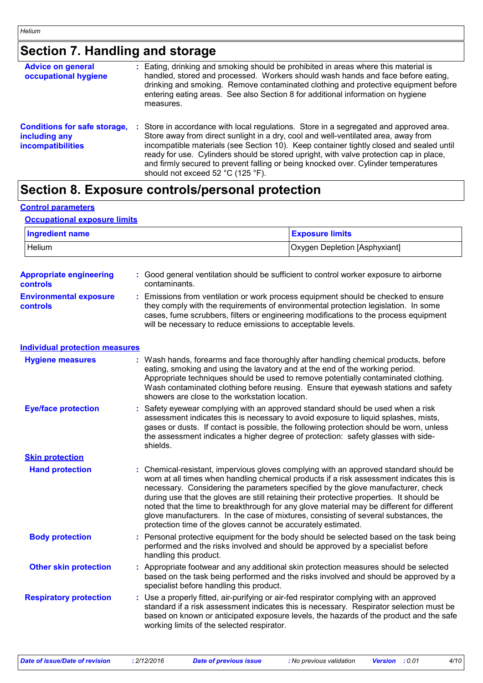## **Section 7. Handling and storage**

| <b>Advice on general</b><br>occupational hygiene                                 |    | : Eating, drinking and smoking should be prohibited in areas where this material is<br>handled, stored and processed. Workers should wash hands and face before eating,<br>drinking and smoking. Remove contaminated clothing and protective equipment before<br>entering eating areas. See also Section 8 for additional information on hygiene<br>measures.                                                                                                                              |
|----------------------------------------------------------------------------------|----|--------------------------------------------------------------------------------------------------------------------------------------------------------------------------------------------------------------------------------------------------------------------------------------------------------------------------------------------------------------------------------------------------------------------------------------------------------------------------------------------|
| <b>Conditions for safe storage,</b><br>including any<br><b>incompatibilities</b> | ÷. | Store in accordance with local regulations. Store in a segregated and approved area.<br>Store away from direct sunlight in a dry, cool and well-ventilated area, away from<br>incompatible materials (see Section 10). Keep container tightly closed and sealed until<br>ready for use. Cylinders should be stored upright, with valve protection cap in place,<br>and firmly secured to prevent falling or being knocked over. Cylinder temperatures<br>should not exceed 52 °C (125 °F). |

### **Section 8. Exposure controls/personal protection**

#### **Control parameters**

#### **Occupational exposure limits**

| <b>Ingredient name</b> | <b>Exposure limits</b>        |
|------------------------|-------------------------------|
| Helium                 | Oxygen Depletion [Asphyxiant] |

| <b>Appropriate engineering</b><br><b>controls</b> |    | Good general ventilation should be sufficient to control worker exposure to airborne<br>contaminants.                                                                                                                                                                                                                                                                                                                                                                                                                                                                                                                  |
|---------------------------------------------------|----|------------------------------------------------------------------------------------------------------------------------------------------------------------------------------------------------------------------------------------------------------------------------------------------------------------------------------------------------------------------------------------------------------------------------------------------------------------------------------------------------------------------------------------------------------------------------------------------------------------------------|
| <b>Environmental exposure</b><br><b>controls</b>  | ŧ. | Emissions from ventilation or work process equipment should be checked to ensure<br>they comply with the requirements of environmental protection legislation. In some<br>cases, fume scrubbers, filters or engineering modifications to the process equipment<br>will be necessary to reduce emissions to acceptable levels.                                                                                                                                                                                                                                                                                          |
| <b>Individual protection measures</b>             |    |                                                                                                                                                                                                                                                                                                                                                                                                                                                                                                                                                                                                                        |
| <b>Hygiene measures</b>                           |    | : Wash hands, forearms and face thoroughly after handling chemical products, before<br>eating, smoking and using the lavatory and at the end of the working period.<br>Appropriate techniques should be used to remove potentially contaminated clothing.<br>Wash contaminated clothing before reusing. Ensure that eyewash stations and safety<br>showers are close to the workstation location.                                                                                                                                                                                                                      |
| <b>Eye/face protection</b>                        |    | Safety eyewear complying with an approved standard should be used when a risk<br>assessment indicates this is necessary to avoid exposure to liquid splashes, mists,<br>gases or dusts. If contact is possible, the following protection should be worn, unless<br>the assessment indicates a higher degree of protection: safety glasses with side-<br>shields.                                                                                                                                                                                                                                                       |
| <b>Skin protection</b>                            |    |                                                                                                                                                                                                                                                                                                                                                                                                                                                                                                                                                                                                                        |
| <b>Hand protection</b>                            |    | : Chemical-resistant, impervious gloves complying with an approved standard should be<br>worn at all times when handling chemical products if a risk assessment indicates this is<br>necessary. Considering the parameters specified by the glove manufacturer, check<br>during use that the gloves are still retaining their protective properties. It should be<br>noted that the time to breakthrough for any glove material may be different for different<br>glove manufacturers. In the case of mixtures, consisting of several substances, the<br>protection time of the gloves cannot be accurately estimated. |
| <b>Body protection</b>                            |    | Personal protective equipment for the body should be selected based on the task being<br>performed and the risks involved and should be approved by a specialist before<br>handling this product.                                                                                                                                                                                                                                                                                                                                                                                                                      |
| <b>Other skin protection</b>                      |    | : Appropriate footwear and any additional skin protection measures should be selected<br>based on the task being performed and the risks involved and should be approved by a<br>specialist before handling this product.                                                                                                                                                                                                                                                                                                                                                                                              |
| <b>Respiratory protection</b>                     |    | : Use a properly fitted, air-purifying or air-fed respirator complying with an approved<br>standard if a risk assessment indicates this is necessary. Respirator selection must be<br>based on known or anticipated exposure levels, the hazards of the product and the safe<br>working limits of the selected respirator.                                                                                                                                                                                                                                                                                             |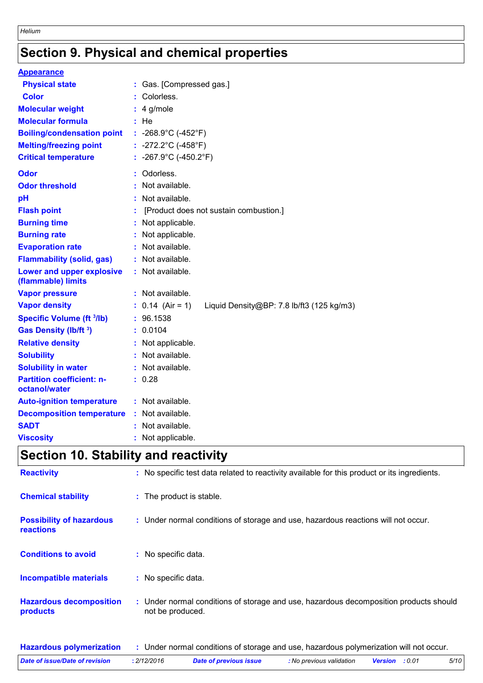# **Section 9. Physical and chemical properties**

| <b>Appearance</b>                                 |    |                                                                 |
|---------------------------------------------------|----|-----------------------------------------------------------------|
| <b>Physical state</b>                             | t  | Gas. [Compressed gas.]                                          |
| <b>Color</b>                                      |    | Colorless.                                                      |
| <b>Molecular weight</b>                           |    | 4 g/mole                                                        |
| <b>Molecular formula</b>                          |    | : He                                                            |
| <b>Boiling/condensation point</b>                 |    | : -268.9°C (-452°F)                                             |
| <b>Melting/freezing point</b>                     |    | : $-272.2^{\circ}$ C (-458 $^{\circ}$ F)                        |
| <b>Critical temperature</b>                       |    | : -267.9°C (-450.2°F)                                           |
| Odor                                              |    | Odorless.                                                       |
| <b>Odor threshold</b>                             |    | Not available.                                                  |
| pH                                                |    | Not available.                                                  |
| <b>Flash point</b>                                |    | [Product does not sustain combustion.]                          |
| <b>Burning time</b>                               |    | Not applicable.                                                 |
| <b>Burning rate</b>                               |    | Not applicable.                                                 |
| <b>Evaporation rate</b>                           | ÷  | Not available.                                                  |
| <b>Flammability (solid, gas)</b>                  |    | Not available.                                                  |
| Lower and upper explosive<br>(flammable) limits   |    | Not available.                                                  |
| <b>Vapor pressure</b>                             |    | : Not available.                                                |
| <b>Vapor density</b>                              |    | $: 0.14$ (Air = 1)<br>Liquid Density@BP: 7.8 lb/ft3 (125 kg/m3) |
| <b>Specific Volume (ft 3/lb)</b>                  |    | 96.1538                                                         |
| Gas Density (lb/ft 3)                             |    | : 0.0104                                                        |
| <b>Relative density</b>                           |    | Not applicable.                                                 |
| <b>Solubility</b>                                 |    | Not available.                                                  |
| <b>Solubility in water</b>                        |    | Not available.                                                  |
| <b>Partition coefficient: n-</b><br>octanol/water |    | : 0.28                                                          |
| <b>Auto-ignition temperature</b>                  |    | : Not available.                                                |
| <b>Decomposition temperature</b>                  | ÷. | Not available.                                                  |
| <b>SADT</b>                                       |    | Not available.                                                  |
| <b>Viscosity</b>                                  |    | Not applicable.                                                 |

### **Section 10. Stability and reactivity**

| <b>Reactivity</b>                            | t. | No specific test data related to reactivity available for this product or its ingredients.                |
|----------------------------------------------|----|-----------------------------------------------------------------------------------------------------------|
| <b>Chemical stability</b>                    |    | : The product is stable.                                                                                  |
| <b>Possibility of hazardous</b><br>reactions |    | : Under normal conditions of storage and use, hazardous reactions will not occur.                         |
| <b>Conditions to avoid</b>                   | t. | No specific data.                                                                                         |
| Incompatible materials                       |    | : No specific data.                                                                                       |
| <b>Hazardous decomposition</b><br>products   |    | : Under normal conditions of storage and use, hazardous decomposition products should<br>not be produced. |

| <b>Hazardous polymerization</b> |             | Under normal conditions of storage and use, hazardous polymerization will not occur. |                          |                       |      |
|---------------------------------|-------------|--------------------------------------------------------------------------------------|--------------------------|-----------------------|------|
| Date of issue/Date of revision  | : 2/12/2016 | <b>Date of previous issue</b>                                                        | : No previous validation | <b>Version</b> : 0.01 | 5/10 |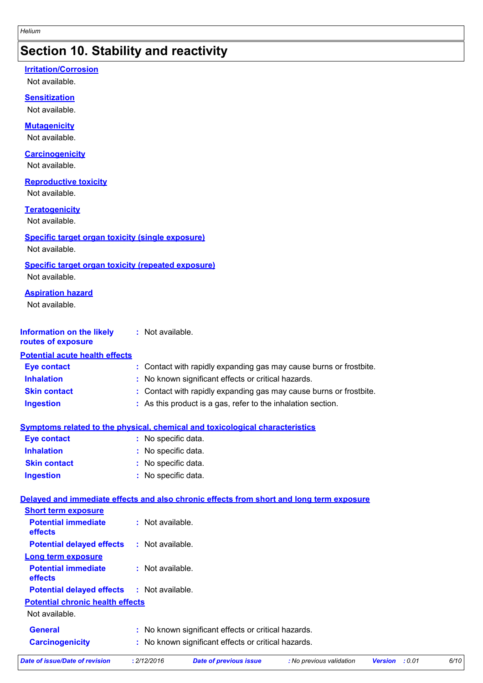### **Section 10. Stability and reactivity**

#### **Irritation/Corrosion**

Not available.

#### **Sensitization**

Not available.

#### **Mutagenicity**

Not available.

#### **Carcinogenicity**

Not available.

#### **Reproductive toxicity**

Not available.

#### **Teratogenicity**

Not available.

#### **Specific target organ toxicity (single exposure)**

Not available.

#### **Specific target organ toxicity (repeated exposure)**

Not available.

#### **Aspiration hazard**

Not available.

#### **Information on the likely routes of exposure :** Not available.

#### **Inhalation :** No known significant effects or critical hazards. **Ingestion :** As this product is a gas, refer to the inhalation section. **Skin contact :** Contact with rapidly expanding gas may cause burns or frostbite. **Eye contact :** Contact with rapidly expanding gas may cause burns or frostbite. **Potential acute health effects**

#### **Symptoms related to the physical, chemical and toxicological characteristics**

| <b>Eye contact</b>  | : No specific data. |
|---------------------|---------------------|
| <b>Inhalation</b>   | : No specific data. |
| <b>Skin contact</b> | : No specific data. |
| <b>Ingestion</b>    | : No specific data. |

#### **Delayed and immediate effects and also chronic effects from short and long term exposure**

| <b>Short term exposure</b>                        |                                                     |
|---------------------------------------------------|-----------------------------------------------------|
| <b>Potential immediate</b><br><b>effects</b>      | $:$ Not available.                                  |
| <b>Potential delayed effects</b>                  | : Not available.                                    |
| Long term exposure                                |                                                     |
| <b>Potential immediate</b><br><b>effects</b>      | $:$ Not available.                                  |
| <b>Potential delayed effects : Not available.</b> |                                                     |
| <b>Potential chronic health effects</b>           |                                                     |
| Not available.                                    |                                                     |
| <b>General</b>                                    | : No known significant effects or critical hazards. |
| <b>Carcinogenicity</b>                            | : No known significant effects or critical hazards. |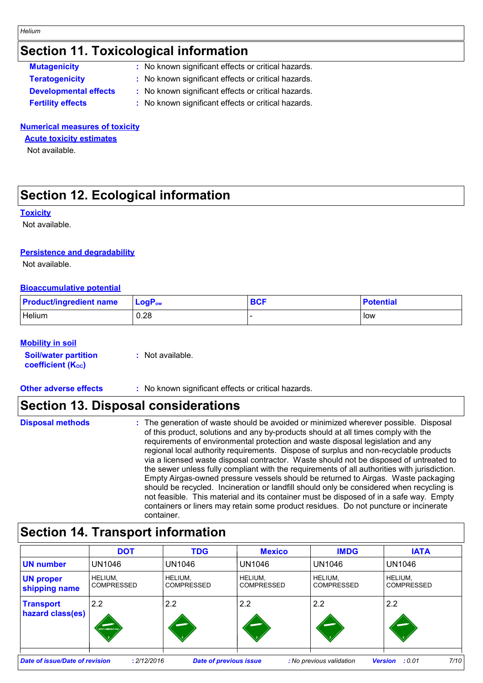### **Section 11. Toxicological information**

| <b>Mutagenicity</b>          | : No known significant effects or critical hazards. |
|------------------------------|-----------------------------------------------------|
| <b>Teratogenicity</b>        | : No known significant effects or critical hazards. |
| <b>Developmental effects</b> | : No known significant effects or critical hazards. |
| <b>Fertility effects</b>     | : No known significant effects or critical hazards. |

#### **Numerical measures of toxicity**

**Acute toxicity estimates**

Not available.

### **Section 12. Ecological information**

#### **Toxicity**

Not available.

#### **Persistence and degradability**

Not available.

#### **Bioaccumulative potential**

| <b>Product/ingredient name</b> | $\mathsf{LogP}_\mathsf{ow}$ | <b>BCF</b> | <b>Potential</b> |
|--------------------------------|-----------------------------|------------|------------------|
| <b>Helium</b>                  | 0.28                        |            | l low            |

#### **Mobility in soil**

| <b>Soil/water partition</b> | : Not available. |
|-----------------------------|------------------|
| <b>coefficient (Koc)</b>    |                  |

**Other adverse effects** : No known significant effects or critical hazards.

### **Section 13. Disposal considerations**

| <b>Disposal methods</b> | : The generation of waste should be avoided or minimized wherever possible. Disposal<br>of this product, solutions and any by-products should at all times comply with the<br>requirements of environmental protection and waste disposal legislation and any<br>regional local authority requirements. Dispose of surplus and non-recyclable products<br>via a licensed waste disposal contractor. Waste should not be disposed of untreated to<br>the sewer unless fully compliant with the requirements of all authorities with jurisdiction.<br>Empty Airgas-owned pressure vessels should be returned to Airgas. Waste packaging<br>should be recycled. Incineration or landfill should only be considered when recycling is<br>not feasible. This material and its container must be disposed of in a safe way. Empty<br>containers or liners may retain some product residues. Do not puncture or incinerate |
|-------------------------|---------------------------------------------------------------------------------------------------------------------------------------------------------------------------------------------------------------------------------------------------------------------------------------------------------------------------------------------------------------------------------------------------------------------------------------------------------------------------------------------------------------------------------------------------------------------------------------------------------------------------------------------------------------------------------------------------------------------------------------------------------------------------------------------------------------------------------------------------------------------------------------------------------------------|
|                         | container.                                                                                                                                                                                                                                                                                                                                                                                                                                                                                                                                                                                                                                                                                                                                                                                                                                                                                                          |

### **Section 14. Transport information**

|                                      | <b>DOT</b>                   | <b>TDG</b>                    | <b>Mexico</b>                | <b>IMDG</b>                  | <b>IATA</b>                      |
|--------------------------------------|------------------------------|-------------------------------|------------------------------|------------------------------|----------------------------------|
| <b>UN</b> number                     | <b>UN1046</b>                | UN1046                        | <b>UN1046</b>                | <b>UN1046</b>                | UN1046                           |
| <b>UN proper</b><br>shipping name    | HELIUM,<br><b>COMPRESSED</b> | HELIUM,<br><b>COMPRESSED</b>  | HELIUM,<br><b>COMPRESSED</b> | HELIUM,<br><b>COMPRESSED</b> | HELIUM,<br><b>COMPRESSED</b>     |
| <b>Transport</b><br>hazard class(es) | 2.2<br>NON-FLAMMABLE CA      | 2.2                           | 2.2                          | 2.2                          | 2.2                              |
| Date of issue/Date of revision       | : 2/12/2016                  | <b>Date of previous issue</b> |                              | : No previous validation     | 7/10<br><b>Version</b><br>: 0.01 |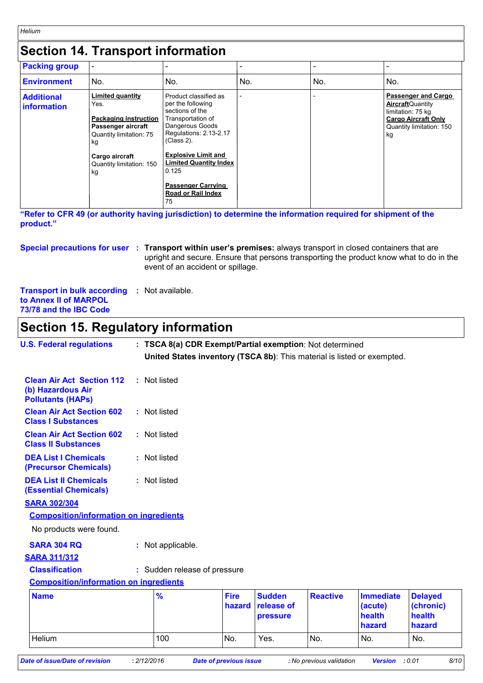### **Section 14. Transport information**

| <b>Packing group</b>             |                                                                                                                                                                            |                                                                                                                                                                                                                                                                                |     |     |                                                                                                                                             |
|----------------------------------|----------------------------------------------------------------------------------------------------------------------------------------------------------------------------|--------------------------------------------------------------------------------------------------------------------------------------------------------------------------------------------------------------------------------------------------------------------------------|-----|-----|---------------------------------------------------------------------------------------------------------------------------------------------|
| <b>Environment</b>               | No.                                                                                                                                                                        | No.                                                                                                                                                                                                                                                                            | No. | No. | No.                                                                                                                                         |
| <b>Additional</b><br>information | <b>Limited quantity</b><br>Yes.<br><b>Packaging instruction</b><br>Passenger aircraft<br>Quantity limitation: 75<br>kg<br>Cargo aircraft<br>Quantity limitation: 150<br>kg | Product classified as<br>per the following<br>sections of the<br>Transportation of<br>Dangerous Goods<br>Regulations: 2.13-2.17<br>(Class 2).<br><b>Explosive Limit and</b><br><b>Limited Quantity Index</b><br>0.125<br><b>Passenger Carrying</b><br>Road or Rail Index<br>75 |     |     | <b>Passenger and Cargo</b><br><b>Aircraft</b> Quantity<br>limitation: 75 kg<br><b>Cargo Aircraft Only</b><br>Quantity limitation: 150<br>kg |

**"Refer to CFR 49 (or authority having jurisdiction) to determine the information required for shipment of the product."** 

**Special precautions for user** : Transport within user's premises: always transport in closed containers that are upright and secure. Ensure that persons transporting the product know what to do in the event of an accident or spillage.

**Transport in bulk according :** Not available. **to Annex II of MARPOL 73/78 and the IBC Code**

### **Section 15. Regulatory information**

| <b>U.S. Federal regulations</b>                                                                 | : TSCA 8(a) CDR Exempt/Partial exemption: Not determined<br>United States inventory (TSCA 8b): This material is listed or exempted. |                       |                                         |                 |                                                 |                                                 |
|-------------------------------------------------------------------------------------------------|-------------------------------------------------------------------------------------------------------------------------------------|-----------------------|-----------------------------------------|-----------------|-------------------------------------------------|-------------------------------------------------|
| <b>Clean Air Act Section 112</b><br>(b) Hazardous Air<br><b>Pollutants (HAPs)</b>               | : Not listed                                                                                                                        |                       |                                         |                 |                                                 |                                                 |
| <b>Clean Air Act Section 602</b><br><b>Class I Substances</b>                                   | : Not listed                                                                                                                        |                       |                                         |                 |                                                 |                                                 |
| <b>Clean Air Act Section 602</b><br><b>Class II Substances</b>                                  | : Not listed                                                                                                                        |                       |                                         |                 |                                                 |                                                 |
| <b>DEA List I Chemicals</b><br>(Precursor Chemicals)                                            | : Not listed                                                                                                                        |                       |                                         |                 |                                                 |                                                 |
| <b>DEA List II Chemicals</b><br><b>(Essential Chemicals)</b>                                    | : Not listed                                                                                                                        |                       |                                         |                 |                                                 |                                                 |
| <b>SARA 302/304</b><br><b>Composition/information on ingredients</b><br>No products were found. |                                                                                                                                     |                       |                                         |                 |                                                 |                                                 |
| <b>SARA 304 RQ</b><br><b>SARA 311/312</b>                                                       | : Not applicable.                                                                                                                   |                       |                                         |                 |                                                 |                                                 |
| <b>Classification</b><br><b>Composition/information on ingredients</b>                          | : Sudden release of pressure                                                                                                        |                       |                                         |                 |                                                 |                                                 |
| <b>Name</b>                                                                                     | $\frac{9}{6}$                                                                                                                       | <b>Fire</b><br>hazard | <b>Sudden</b><br>release of<br>pressure | <b>Reactive</b> | <b>Immediate</b><br>(acute)<br>health<br>hazard | <b>Delayed</b><br>(chronic)<br>health<br>hazard |
| Helium                                                                                          | 100                                                                                                                                 | No.                   | Yes.                                    | No.             | No.                                             | No.                                             |

*Helium*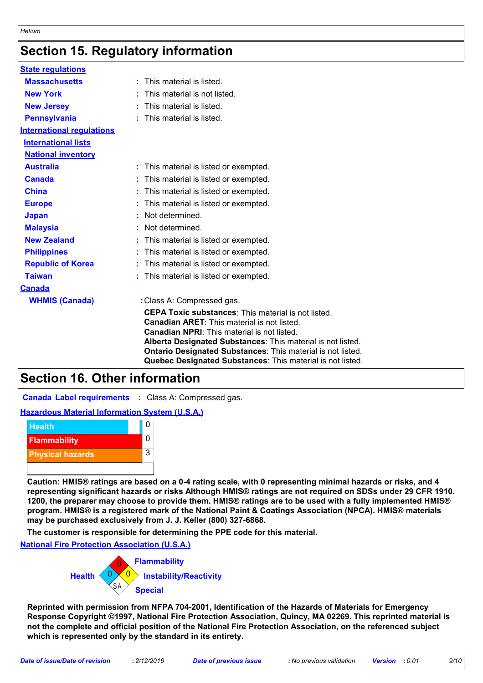### **Section 15. Regulatory information**

| <b>State regulations</b>                                                    |                                                                                                                                                                                                                                                                                                                                                                                                                                                                                                                         |  |  |  |
|-----------------------------------------------------------------------------|-------------------------------------------------------------------------------------------------------------------------------------------------------------------------------------------------------------------------------------------------------------------------------------------------------------------------------------------------------------------------------------------------------------------------------------------------------------------------------------------------------------------------|--|--|--|
| <b>Massachusetts</b>                                                        | This material is listed.                                                                                                                                                                                                                                                                                                                                                                                                                                                                                                |  |  |  |
| <b>New York</b>                                                             | This material is not listed.                                                                                                                                                                                                                                                                                                                                                                                                                                                                                            |  |  |  |
| <b>New Jersey</b>                                                           | This material is listed.                                                                                                                                                                                                                                                                                                                                                                                                                                                                                                |  |  |  |
| <b>Pennsylvania</b>                                                         | : This material is listed.                                                                                                                                                                                                                                                                                                                                                                                                                                                                                              |  |  |  |
| <b>International regulations</b>                                            |                                                                                                                                                                                                                                                                                                                                                                                                                                                                                                                         |  |  |  |
| <b>International lists</b>                                                  |                                                                                                                                                                                                                                                                                                                                                                                                                                                                                                                         |  |  |  |
| <b>National inventory</b>                                                   |                                                                                                                                                                                                                                                                                                                                                                                                                                                                                                                         |  |  |  |
| <b>Australia</b>                                                            | : This material is listed or exempted.                                                                                                                                                                                                                                                                                                                                                                                                                                                                                  |  |  |  |
| <b>Canada</b>                                                               | This material is listed or exempted.                                                                                                                                                                                                                                                                                                                                                                                                                                                                                    |  |  |  |
| <b>China</b>                                                                | This material is listed or exempted.                                                                                                                                                                                                                                                                                                                                                                                                                                                                                    |  |  |  |
| <b>Europe</b>                                                               | This material is listed or exempted.                                                                                                                                                                                                                                                                                                                                                                                                                                                                                    |  |  |  |
| <b>Japan</b>                                                                | Not determined.                                                                                                                                                                                                                                                                                                                                                                                                                                                                                                         |  |  |  |
| <b>Malaysia</b>                                                             | Not determined.                                                                                                                                                                                                                                                                                                                                                                                                                                                                                                         |  |  |  |
| <b>New Zealand</b>                                                          | This material is listed or exempted.                                                                                                                                                                                                                                                                                                                                                                                                                                                                                    |  |  |  |
| <b>Philippines</b>                                                          | This material is listed or exempted.                                                                                                                                                                                                                                                                                                                                                                                                                                                                                    |  |  |  |
| <b>Republic of Korea</b>                                                    | : This material is listed or exempted.                                                                                                                                                                                                                                                                                                                                                                                                                                                                                  |  |  |  |
| <b>Taiwan</b>                                                               | : This material is listed or exempted.                                                                                                                                                                                                                                                                                                                                                                                                                                                                                  |  |  |  |
| <b>Canada</b>                                                               |                                                                                                                                                                                                                                                                                                                                                                                                                                                                                                                         |  |  |  |
| <b>WHMIS (Canada)</b>                                                       | : Class A: Compressed gas.                                                                                                                                                                                                                                                                                                                                                                                                                                                                                              |  |  |  |
|                                                                             | CEPA Toxic substances: This material is not listed.                                                                                                                                                                                                                                                                                                                                                                                                                                                                     |  |  |  |
|                                                                             | Canadian ARET: This material is not listed.                                                                                                                                                                                                                                                                                                                                                                                                                                                                             |  |  |  |
|                                                                             | <b>Canadian NPRI:</b> This material is not listed.                                                                                                                                                                                                                                                                                                                                                                                                                                                                      |  |  |  |
|                                                                             | Alberta Designated Substances: This material is not listed.                                                                                                                                                                                                                                                                                                                                                                                                                                                             |  |  |  |
|                                                                             | Ontario Designated Substances: This material is not listed.<br>Quebec Designated Substances: This material is not listed.                                                                                                                                                                                                                                                                                                                                                                                               |  |  |  |
| <b>Section 16. Other information</b>                                        |                                                                                                                                                                                                                                                                                                                                                                                                                                                                                                                         |  |  |  |
|                                                                             | <b>Canada Label requirements : Class A: Compressed gas.</b>                                                                                                                                                                                                                                                                                                                                                                                                                                                             |  |  |  |
| <b>Hazardous Material Information System (U.S.A.)</b>                       |                                                                                                                                                                                                                                                                                                                                                                                                                                                                                                                         |  |  |  |
| <b>Health</b>                                                               | $\mathbf 0$                                                                                                                                                                                                                                                                                                                                                                                                                                                                                                             |  |  |  |
|                                                                             | 0                                                                                                                                                                                                                                                                                                                                                                                                                                                                                                                       |  |  |  |
| <b>Flammability</b>                                                         |                                                                                                                                                                                                                                                                                                                                                                                                                                                                                                                         |  |  |  |
| <b>Physical hazards</b>                                                     | 3                                                                                                                                                                                                                                                                                                                                                                                                                                                                                                                       |  |  |  |
|                                                                             |                                                                                                                                                                                                                                                                                                                                                                                                                                                                                                                         |  |  |  |
|                                                                             | Caution: HMIS® ratings are based on a 0-4 rating scale, with 0 representing minimal hazards or risks, and 4<br>representing significant hazards or risks Although HMIS® ratings are not required on SDSs under 29 CFR 1910.<br>1200, the preparer may choose to provide them. HMIS® ratings are to be used with a fully implemented HMIS®<br>program. HMIS® is a registered mark of the National Paint & Coatings Association (NPCA). HMIS® materials<br>may be purchased exclusively from J. J. Keller (800) 327-6868. |  |  |  |
| The customer is responsible for determining the PPE code for this material. |                                                                                                                                                                                                                                                                                                                                                                                                                                                                                                                         |  |  |  |
| <b>National Fire Protection Association (U.S.A.)</b>                        |                                                                                                                                                                                                                                                                                                                                                                                                                                                                                                                         |  |  |  |
|                                                                             | <b>Flammability</b>                                                                                                                                                                                                                                                                                                                                                                                                                                                                                                     |  |  |  |
| <b>Health</b><br><b>Instability/Reactivity</b>                              |                                                                                                                                                                                                                                                                                                                                                                                                                                                                                                                         |  |  |  |
| <b>Special</b>                                                              |                                                                                                                                                                                                                                                                                                                                                                                                                                                                                                                         |  |  |  |
| which is represented only by the standard in its entirety.                  | Reprinted with permission from NFPA 704-2001, Identification of the Hazards of Materials for Emergency<br>Response Copyright ©1997, National Fire Protection Association, Quincy, MA 02269. This reprinted material is<br>not the complete and official position of the National Fire Protection Association, on the referenced subject                                                                                                                                                                                 |  |  |  |

### **Section 16. Other information**

#### **Hazardous Material Information System (U.S.A.)**





*Date of issue/Date of revision* **:** *2/12/2016 Date of previous issue : No previous validation Version : 0.01 9/10*